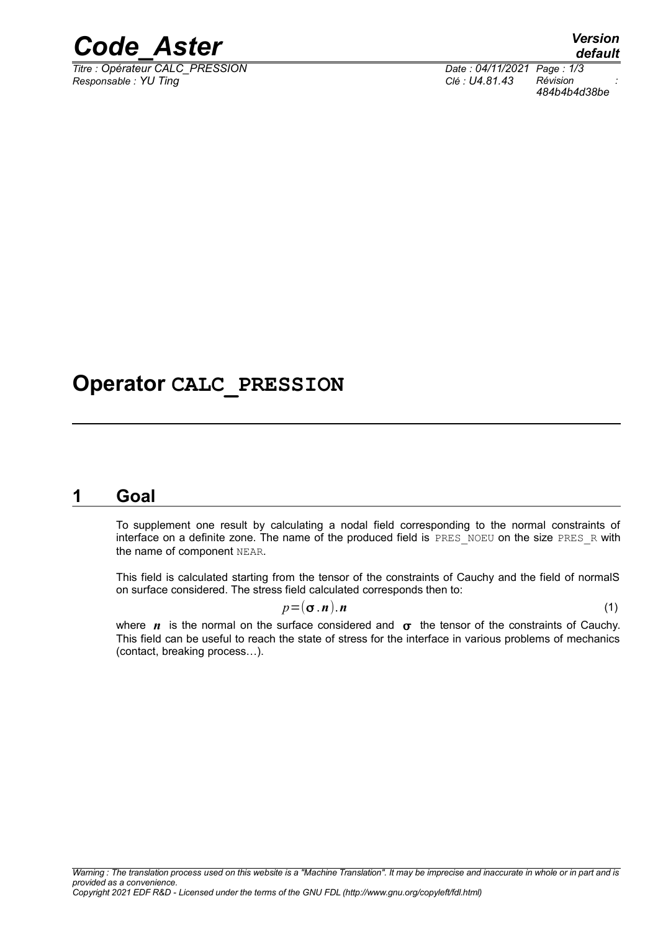

*Titre : Opérateur CALC\_PRESSION Date : 04/11/2021 Page : 1/3 Responsable : YU Ting Clé : U4.81.43 Révision :*

# **Operator CALC\_PRESSION**

### **1 Goal**

To supplement one result by calculating a nodal field corresponding to the normal constraints of interface on a definite zone. The name of the produced field is PRES\_NOEU on the size PRES\_R with the name of component NEAR.

This field is calculated starting from the tensor of the constraints of Cauchy and the field of normalS on surface considered. The stress field calculated corresponds then to:

$$
p = (\sigma \cdot n) \cdot n \tag{1}
$$

where  $n$  is the normal on the surface considered and  $\sigma$  the tensor of the constraints of Cauchy. This field can be useful to reach the state of stress for the interface in various problems of mechanics (contact, breaking process…).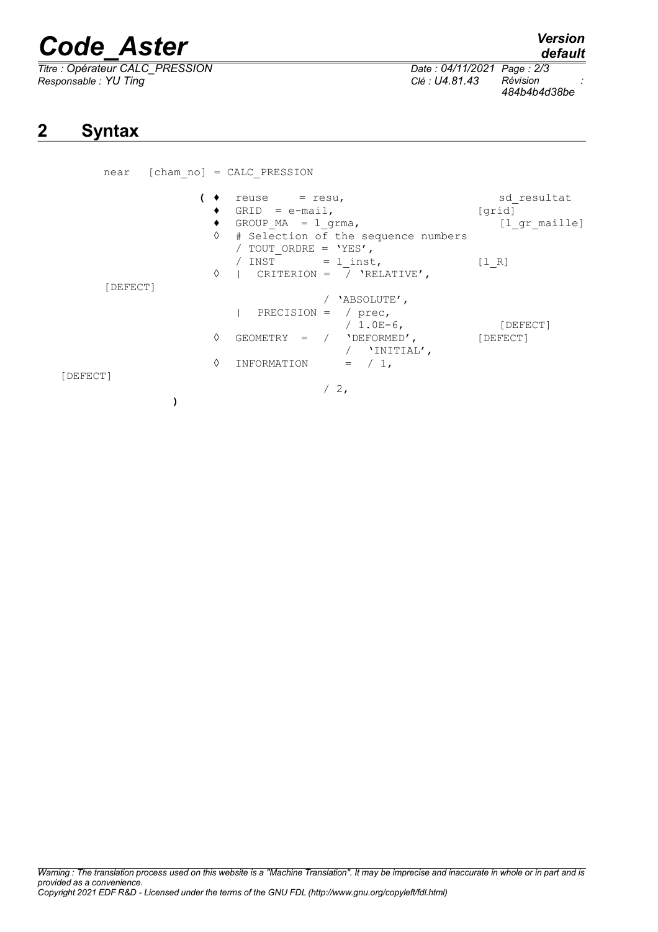# *Code\_Aster Version*

*Titre : Opérateur CALC\_PRESSION Date : 04/11/2021 Page : 2/3*  $R$ *esponsable : YU Ting* 

*484b4b4d38be*

# **2 Syntax**

| near     | $[cham no] = CALC$ PRESSION                                                          |                                                     |                                        |
|----------|--------------------------------------------------------------------------------------|-----------------------------------------------------|----------------------------------------|
|          | $reuse = resu,$<br>$GRID = e-mail,$<br>GROUP $MA = 1$ grma,<br>٠<br>♦                | # Selection of the sequence numbers                 | sd resultat<br>[qrid]<br>[l gr maille] |
| [DEFECT] | / TOUT ORDRE = $'YES'$ ,<br>/ INST $= 1$ inst,<br>  CRITERION = $/$ 'RELATIVE',<br>♦ |                                                     | [1 R]                                  |
|          | PRECISION = $/$ prec,                                                                | 'ABSOLUTE',<br>/ $1.0E-6$ ,                         | [DEFECT]                               |
|          | ♦<br>GEOMETRY = $/$ 'DEFORMED',                                                      | / $'$ INITIAL',                                     | [DEFECT]                               |
| [DEFECT] | ♦<br>INFORMATION<br>$/2$ ,                                                           | $=$ $\left( \begin{array}{c} 1 \end{array} \right)$ |                                        |
|          |                                                                                      |                                                     |                                        |